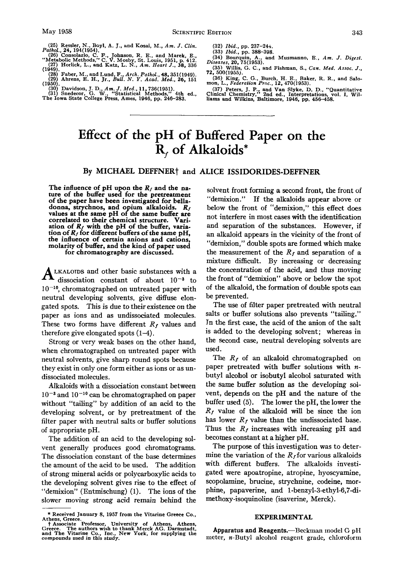(25) Ressler, N., Boyl, A. J., and Kosai, M.,  $Am. J. Clin. Palhol, 24, 194(1954), 2101(195), 221(26) Consolazio, C. F., Johnson, R. E., and Marek, E., "Metabolic Methods," C. V. Mosby, St. Louis, 1951, p. 412. (27) Horlick, L., and Katz, L. N.,  $Am. HeatJ.$ , 38, 336<br>(127) Horlick, L., and Katz, L. N.,  $Am. HeatJ.$ , 38,$ 

- 
- **28) Faber** M **andLund F** *Arch.PothoL* **48 351(1949). !Z9, Ahren's. E. H.. Jr.,** *bd. N. Y. Acad.'M;d.. 26,* **151 (195UJ.**
- **Davidson,** J. **D.,** *Am. J. Med.,* **11,736(1951).**

**(30 (311 Snedecor, G. W. "Statistical Methods," 4th ed., The Iowa State College Press, Ames, 1946, pp. 246-283.** 

**(32)** *Ibid.,* **pp. 237-24.;.** 

- **(33)** *Ibid.,* **pp. 388-398.**
- **(34) Bourquin, A., and Musmanno. E..** *Am. J. Digest.*  **(35) Willis G. C., and Fishman, S., Can.** *Med. Assoc. J.. Diseases, 20,* **75(1953).**
- **(36) King, C..G., Burch, H. E., Baker, R. R., and Salo-**  *72,* **500(1955j. mon, L.,** *Fcderolron Proc.,* **12. 470(1953).**
- (37) Peters, J. P., and Van Slyke, D. D., "Quantitative inical Chemistry," 2nd ed., Interpretations, vol. I, Wil-**Clinical Chemistry liams and Wilkins.'Baltirnore, 1946, pp. 456-458.**

# **Effect of the pH of Buffered Paper on the Rf of Alkaloids\***

## By MICHAEL DEFFNER<sup>†</sup> and ALICE ISSIDORIDES-DEFFNER

The influence of pH upon the  $R_f$  and the na-<br>ture of the buffer used for the pretreatment<br>of the paper have been investigated for belladonna, strychnos, and opium alkaloids.  $R_f$  values at the same pH of the same buffer are correlated to their chemical structure. Variation of  $R_f$  with the pH of the buffer, variation of  $R_f$  for different buffers of the same pH, **the influence of certain anions and cations, molarity of buffer, and the kind of paper used for chromatography are discussed.** 

**LKALOTDS** and other basic substances with a **A** dissociation constant of about 10-3 to 10<sup>-10</sup>, chromatographed on untreated paper with neutral developing solvents, give diffuse elongated spots. This **is** due to their existence on the paper as ions and as undissociated molecules. These two forms have different  $R_f$  values and therefore give elongated spots **(1-4).** 

Strong or very weak bases on the other hand, when chromatographed on untreated paper with neutral solvents, give sharp round spots because they exist in only one form either as ions or as **un**dissociated molecules.

Alkaloids with a dissociation constant between and  $10^{-10}$  can be chromatographed on paper without "tailing" by addition of an acid to the developing solvent, or by pretreatment of the filter paper with neutral salts or buffer solutions of appropriate pH.

The addition of an acid to the developing solvent generally produces good chromatograms. The dissociation constant of the base determines the amount of the acid to be used. The addition of strong mineral acids or polycarboxylic acids to the developing solvent gives rise to the effect of "demixion" (Entmischung) (1). The ions of the slower moving strong acid remain behind the

solvent front forming a second front, the front of "demixion." **If** the alkaloids appear above or below the front of "demixion," this effect **does**  not interfere in most cases with the identification and separation of the substances. However, if an alkaloid appears in the vicinity of the front of "demixion," double spots are formed which make the measurement of the  $R_f$  and separation of a mixture difficult. By increasing or decreasing the concentration of the acid, and thus moving the front of "demixion" above or below the spot of the alkaloid, the formation of double spots can be prevented.

The **use** of filter paper pretreated with neutral salts or buffer solutions also prevents "tailing." Jn the fist case, the acid of the anion of the salt is added to the developing solvent; whereas in the second case, neutral developing solvents are used.

The  $R_f$  of an alkaloid chromatographed on paper pretreated with buffer solutions with *n*butyl alcohol or isobutyl alcohol saturated with the same buffer solution **as** the developing **sol**vent, depends on the pH and the nature **of** the buffer used **(5).** The lower the pH, the lower the  $R_f$  value of the alkaloid will be since the ion has lower  $R_f$  value than the undissociated base. Thus the  $R_f$  increases with increasing pH and becomes constant at a higher pH.

The purpose of this investigation was to determine the variation of the  $R<sub>f</sub>$  for various alkaloids with different buffers. The alkaloids investigated were apoatropine, atropine, hyoscyamine, scopolamine, brucine, strychnine, codeine, morphine, papaverine, and **l-benzyl-3-ethyl-6,7-di**methoxy -isoquinoline (isaverine, Merck) .

### **EXPERIMENTAL**

**Apparatus and Reagents.-Beckman model** G **pH** 

<sup>\*</sup> **Received January 8, 1957 from the Vitarine Greece Co.,**<br>Athens, Greece.<br>**https://greece.org/greece.** Juniversity of Athens Athens

Athens, Greece.<br>
The Vitarine Co., Iniversity of Athens, Athens,<br>
Greece. The authors wish to thank Merck AG. Darmstadt, Apparatus and Reagents.—Beckman model G pH<br>
and The Vitarine Co., Inc., New York, for supplying the a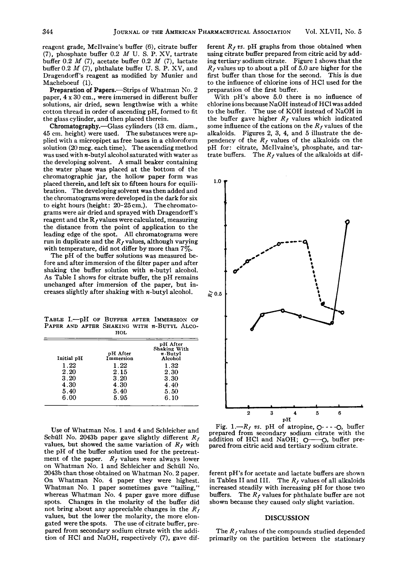reagent grade, McIlvaine's buffer (6). citrate buffer **(7),** phosphate buffer **0.2** *M* U. S. **P.** XV, tartrate buffer **0.2** *M (7),* acetate buffer **0.2** *M (7),* lactate buffer **0.2** *M* (7), phthalate buffer U. S. P. XV, and Dragendorff's reagent as modified by Munier and Macheboeuf (1).

Preparation of Papers.—Strips of Whatman No. 2 paper, **4 x 30** cm., were immersed in different buffer solutions, air dried, sewn lengthwise with a white cotton thread in order of ascending pH, formed to fit the glass cylinder, and then placed therein.

Chromatography.-Glass cylinders **(13** cm. diam., **45** cm. height) were used. The substauces were applied with a micropipet **as** free bases in a chloroform solution **(20** mcg. each time). The ascending method was used with n-butyl alcohol saturated with water **as**  the developing solvent. A small beaker containing the water phase was placed at the bottom of the chromatographic jar, the hollow paper form was placed therein, and left six to fifteen hours for equilibration. The developing solvent was then added and the chromatograms were developed in the dark for six to eight hours (height: **20-25** cm.). The chromatograms were air dried and sprayed with Dragendorff's reagent and the  $\bf{R}$  *r* values were calculated, measuring the distance from the point of application to the leading edge of the spot. All chromatograms were run in duplicate and the  $R_f$  values, although varying with temperature, did not differ by more than **7%.** 

The pH of the buffer solutions was measured before and after immersion of the filter paper and after shaking the buffer solution with  $n$ -butyl alcohol. **As** Table I shows for citrate buffer, the pH remains unchanged after immersion of the paper, but increases slightly after shaking with  $n$ -butyl alcohol.

TABLE I.-pH **OF** BUFFER AFTER IMMERSION **OF**  PAPER AND AFTER SHAKING WITH **n-BUTYL ALCO-** HOL

| Initial pH | pH After<br>Immersion | pH After<br>Shaking With<br>$n$ -Butyl<br>Alcohol |
|------------|-----------------------|---------------------------------------------------|
| 1.22       | 1.22                  | $1.32\,$                                          |
| 2.20       | 2.15                  | 2.30                                              |
| 3.20       | 3.20                  | 3.30                                              |
| 4.30       | 4.30                  | 4.40                                              |
| 5.40       | 5.40                  | 5.50                                              |
| 6.00       | 5.95                  | 6.10                                              |

**Use** of Whatman Nos. **1** and **4** and Schleicher and Schüll No. 2043b paper gave slightly different  $R_f$ values, but showed the same variation of  $R_f$  with the pH of the buffer solution used for the pretreatment of the paper.  $R_f$  values were always lower on Whatman No. 1 and Schleicher and Schiill No. **2043b** than those obtained on Whatman No. **2** paper. On Whatman No. **4** paper they were highest. Whatman No. **1** paper sometimes gave "tailing," whereas Whatman No. **4** paper gave more diffuse spots. Changes in the molarity of the buffer did not bring about any appreciable changes in the  $R_f$ values, but the lower the molarity, the more elongated were the spots. The use of citrate buffer, prepared from secondary sodium citrate with the addition of HCl and NaOH, respectively **(7),** gave different  $R_f$  *vs.* pH graphs from those obtained when using citrate buffer prepared from citric acid by adding tertiary sodium citrate. Figure **1** shows that the  $R_f$  values up to about a pH of 5.0 are higher for the first buffer than those for the second. This is due to the influence of chlorine ions of HCl used for the preparation of the first buffer.

With pH's above 5.0 there is no influence of chlorine ions because NaOH instead of HC1 was added to the buffer. The use of KOH instead of NaOH in the buffer gave higher  $R_f$  values which indicated some influence of the cations on the  $R_f$  values of the alkaloids. Figures **2, 3, 4,** and **5** illustrate the dependency of the  $R_f$  values of the alkaloids on the pH for: citrate, McIlvaine's, phosphate, and tartrate buffers. The  $R_f$  values of the alkaloids at dif-



Fig.  $1 - R_f$  vs. pH of atropine,  $O - -O$ , buffer prepared from secondary sodium citrate with the Fig. 1.— $R_f$  vs. pH of atropine,  $Q$ ---- $Q$ , buffer prepared from secondary sodium citrate with the addition of HCl and NaOH;  $Q$ — $Q$ , buffer pre-<br>pared from citric acid and tertiary sodium citrate. pared from citric acid and tertiary sodium citrate.

ferent pH's for acetate and lactate buffers are shown in Tables II and III. The  $R_f$  values of all alkaloids increased steadily with increasing pH for those two buffers. The  $R_f$  values for phthalate buffer are not shown because they caused only slight variation.

#### **DISCUSSION**

The  $R_f$  values of the compounds studied depended primarily on the partition between the stationary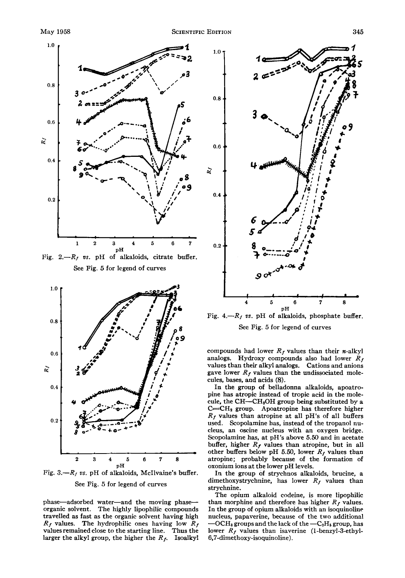

Fig.  $2 - R_f$  *vs.* pH of alkaloids, citrate buffer. See Fig. *5* for legend of curves



Fig.  $3. -R_f$  vs. pH of alkaloids, McIlvaine's buffer. See Fig. *5* for legend of curves

phase-adsorbed water-and the moving phaseorganic solvent. The highly lipophilic compounds travelled **as** fast as the organic solvent having high  $R_f$  values. The hydrophilic ones having low  $R_f$ values remained close to the starting line. Thus the larger the alkyl group, the higher the  $R_f$ . Isoalkyl



Fig.  $4 - R_f$  *vs.* pH of alkaloids, phosphate buffer. See Fig. *5* for legend of curves

compounds had lower  $R_f$  values than their *n*-alkyl analogs. Hydroxy compounds also had lower  $R_f$ values than their alkyl analogs. Cations and anions gave lower  $R_f$  values than the undissociated molecules, bases, and acids *(8).* 

In the group of belladonna alkaloids, apoatropine has atropic instead of tropic acid in the molecule, the CH-CH<sub>2</sub>OH group being substituted by a  $C=CH<sub>2</sub>$  group. Apoatropine has therefore higher *Rf* values than atropine at all pH's of all buffers used. Scopolamine has, instead of the tropanol nucleus, an oscine nucleus with an oxygen bridge. Scopolamine has, at pH's above *5.50* and in acetate buffer, higher  $R_f$  values than atropine, but in all other buffers below pH 5.50, lower  $R_f$  values than atropine; probably because of the formation of oxonium ions at the lower pH levels.

In the group of strychnos alkaloids, brucine, a dimethoxystrychnine, has lower  $R_f$  values than strychnine.

The opium alkaloid codeine, is more lipophilic than morphine and therefore has higher  $R_f$  values. In the group of opium alkaloids with an isoquinoline nucleus, papaverine, because of the two additional  $- OCH<sub>3</sub>$  groups and the lack of the  $-C<sub>2</sub>H<sub>5</sub>$  group, has lower  $R_f$  values than isaverine (1-benzyl-3-ethyl-**6,7-dimethoxy-isoquinoline).**